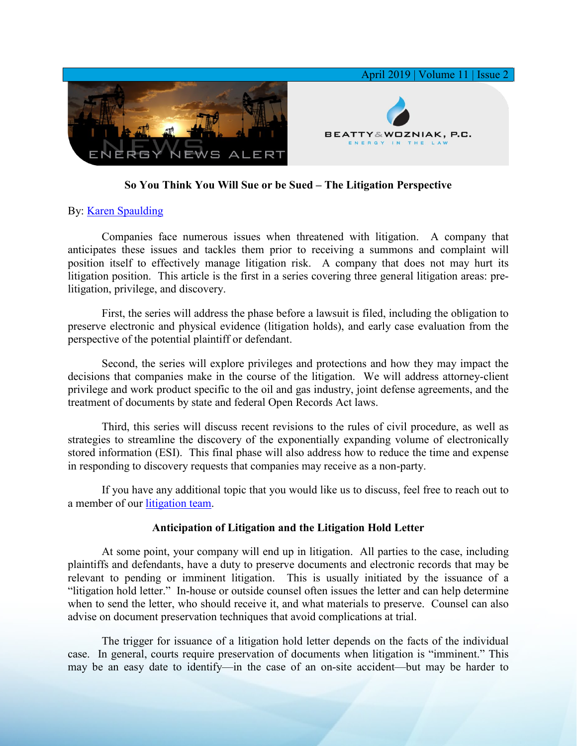

## **So You Think You Will Sue or be Sued – The Litigation Perspective**

## By: [Karen Spaulding](https://www.bwenergylaw.com/karen-spaulding)

Companies face numerous issues when threatened with litigation. A company that anticipates these issues and tackles them prior to receiving a summons and complaint will position itself to effectively manage litigation risk. A company that does not may hurt its litigation position. This article is the first in a series covering three general litigation areas: prelitigation, privilege, and discovery.

First, the series will address the phase before a lawsuit is filed, including the obligation to preserve electronic and physical evidence (litigation holds), and early case evaluation from the perspective of the potential plaintiff or defendant.

Second, the series will explore privileges and protections and how they may impact the decisions that companies make in the course of the litigation. We will address attorney-client privilege and work product specific to the oil and gas industry, joint defense agreements, and the treatment of documents by state and federal Open Records Act laws.

Third, this series will discuss recent revisions to the rules of civil procedure, as well as strategies to streamline the discovery of the exponentially expanding volume of electronically stored information (ESI). This final phase will also address how to reduce the time and expense in responding to discovery requests that companies may receive as a non-party.

If you have any additional topic that you would like us to discuss, feel free to reach out to a member of our [litigation team.](https://www.bwenergylaw.com/litigation)

## **Anticipation of Litigation and the Litigation Hold Letter**

At some point, your company will end up in litigation. All parties to the case, including plaintiffs and defendants, have a duty to preserve documents and electronic records that may be relevant to pending or imminent litigation. This is usually initiated by the issuance of a "litigation hold letter." In-house or outside counsel often issues the letter and can help determine when to send the letter, who should receive it, and what materials to preserve. Counsel can also advise on document preservation techniques that avoid complications at trial.

The trigger for issuance of a litigation hold letter depends on the facts of the individual case. In general, courts require preservation of documents when litigation is "imminent." This may be an easy date to identify—in the case of an on-site accident—but may be harder to